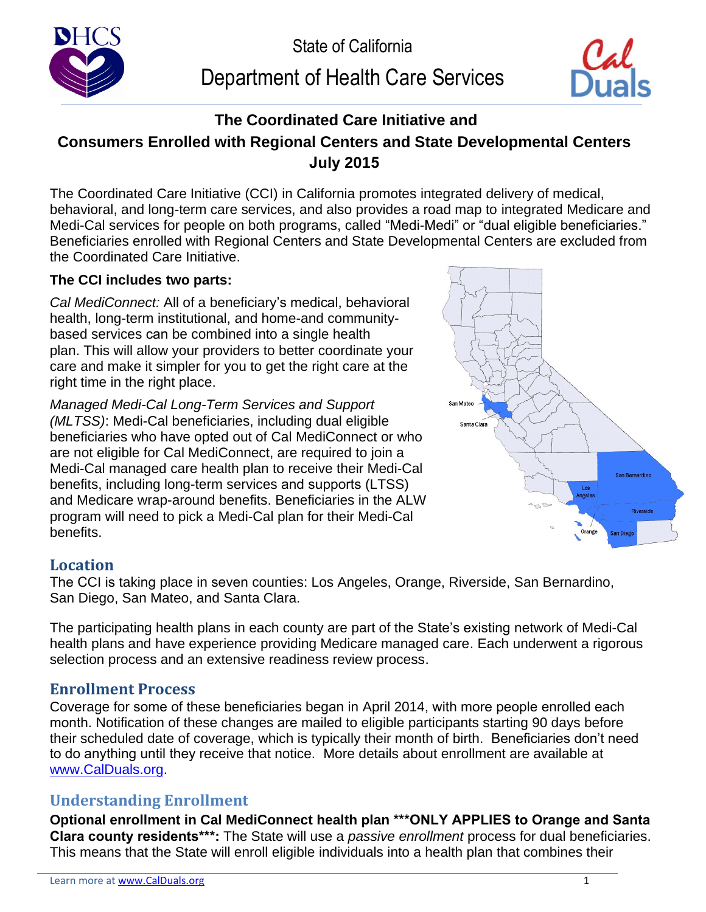

# Department of Health Care Services



## **The Coordinated Care Initiative and Consumers Enrolled with Regional Centers and State Developmental Centers July 2015**

The Coordinated Care Initiative (CCI) in California promotes integrated delivery of medical, behavioral, and long-term care services, and also provides a road map to integrated Medicare and Medi-Cal services for people on both programs, called "Medi-Medi" or "dual eligible beneficiaries." Beneficiaries enrolled with Regional Centers and State Developmental Centers are excluded from the Coordinated Care Initiative.

### **The CCI includes two parts:**

*Cal MediConnect:* All of a beneficiary's medical, behavioral health, long-term institutional, and home-and communitybased services can be combined into a single health plan. This will allow your providers to better coordinate your care and make it simpler for you to get the right care at the right time in the right place.

*Managed Medi-Cal Long-Term Services and Support (MLTSS)*: Medi-Cal beneficiaries, including dual eligible beneficiaries who have opted out of Cal MediConnect or who are not eligible for Cal MediConnect, are required to join a Medi-Cal managed care health plan to receive their Medi-Cal benefits, including long-term services and supports (LTSS) and Medicare wrap-around benefits. Beneficiaries in the ALW program will need to pick a Medi-Cal plan for their Medi-Cal benefits.



## **Location**

The CCI is taking place in seven counties: Los Angeles, Orange, Riverside, San Bernardino, San Diego, San Mateo, and Santa Clara.

The participating health plans in each county are part of the State's existing network of Medi-Cal health plans and have experience providing Medicare managed care. Each underwent a rigorous selection process and an extensive readiness review process.

## **Enrollment Process**

Coverage for some of these beneficiaries began in April 2014, with more people enrolled each month. Notification of these changes are mailed to eligible participants starting 90 days before their scheduled date of coverage, which is typically their month of birth. Beneficiaries don't need to do anything until they receive that notice. More details about enrollment are available at [www.CalDuals.org.](http://www.calduals.org)

## **Understanding Enrollment**

**Optional enrollment in Cal MediConnect health plan \*\*\*ONLY APPLIES to Orange and Santa Clara county residents\*\*\*:** The State will use a *passive enrollment* process for dual beneficiaries. This means that the State will enroll eligible individuals into a health plan that combines their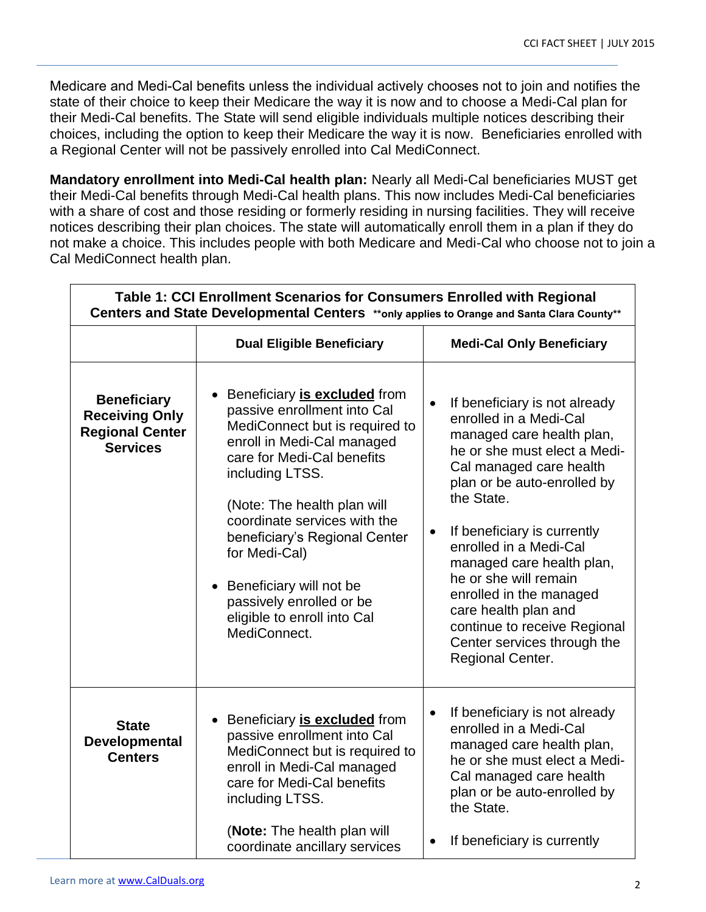Medicare and Medi-Cal benefits unless the individual actively chooses not to join and notifies the state of their choice to keep their Medicare the way it is now and to choose a Medi-Cal plan for their Medi-Cal benefits. The State will send eligible individuals multiple notices describing their choices, including the option to keep their Medicare the way it is now. Beneficiaries enrolled with a Regional Center will not be passively enrolled into Cal MediConnect.

**Mandatory enrollment into Medi-Cal health plan: Nearly all Medi-Cal beneficiaries MUST get** their Medi-Cal benefits through Medi-Cal health plans. This now includes Medi-Cal beneficiaries with a share of cost and those residing or formerly residing in nursing facilities. They will receive notices describing their plan choices. The state will automatically enroll them in a plan if they do not make a choice. This includes people with both Medicare and Medi-Cal who choose not to join a Cal MediConnect health plan.

| Table 1: CCI Enrollment Scenarios for Consumers Enrolled with Regional<br>Centers and State Developmental Centers **only applies to Orange and Santa Clara County** |                                                                                                                                                                                                                                                                                                                                                                                                       |                                                                                                                                                                                                                                                                                                                                                                                                                                                                                    |  |
|---------------------------------------------------------------------------------------------------------------------------------------------------------------------|-------------------------------------------------------------------------------------------------------------------------------------------------------------------------------------------------------------------------------------------------------------------------------------------------------------------------------------------------------------------------------------------------------|------------------------------------------------------------------------------------------------------------------------------------------------------------------------------------------------------------------------------------------------------------------------------------------------------------------------------------------------------------------------------------------------------------------------------------------------------------------------------------|--|
|                                                                                                                                                                     | <b>Dual Eligible Beneficiary</b>                                                                                                                                                                                                                                                                                                                                                                      | <b>Medi-Cal Only Beneficiary</b>                                                                                                                                                                                                                                                                                                                                                                                                                                                   |  |
| <b>Beneficiary</b><br><b>Receiving Only</b><br><b>Regional Center</b><br><b>Services</b>                                                                            | Beneficiary is excluded from<br>passive enrollment into Cal<br>MediConnect but is required to<br>enroll in Medi-Cal managed<br>care for Medi-Cal benefits<br>including LTSS.<br>(Note: The health plan will<br>coordinate services with the<br>beneficiary's Regional Center<br>for Medi-Cal)<br>• Beneficiary will not be<br>passively enrolled or be<br>eligible to enroll into Cal<br>MediConnect. | If beneficiary is not already<br>$\bullet$<br>enrolled in a Medi-Cal<br>managed care health plan,<br>he or she must elect a Medi-<br>Cal managed care health<br>plan or be auto-enrolled by<br>the State.<br>If beneficiary is currently<br>$\bullet$<br>enrolled in a Medi-Cal<br>managed care health plan,<br>he or she will remain<br>enrolled in the managed<br>care health plan and<br>continue to receive Regional<br>Center services through the<br><b>Regional Center.</b> |  |
| <b>State</b><br>Developmental<br><b>Centers</b>                                                                                                                     | Beneficiary is excluded from<br>$\bullet$<br>passive enrollment into Cal<br>MediConnect but is required to<br>enroll in Medi-Cal managed<br>care for Medi-Cal benefits<br>including LTSS.<br>(Note: The health plan will                                                                                                                                                                              | If beneficiary is not already<br>enrolled in a Medi-Cal<br>managed care health plan,<br>he or she must elect a Medi-<br>Cal managed care health<br>plan or be auto-enrolled by<br>the State.                                                                                                                                                                                                                                                                                       |  |
|                                                                                                                                                                     | coordinate ancillary services                                                                                                                                                                                                                                                                                                                                                                         | If beneficiary is currently<br>$\bullet$                                                                                                                                                                                                                                                                                                                                                                                                                                           |  |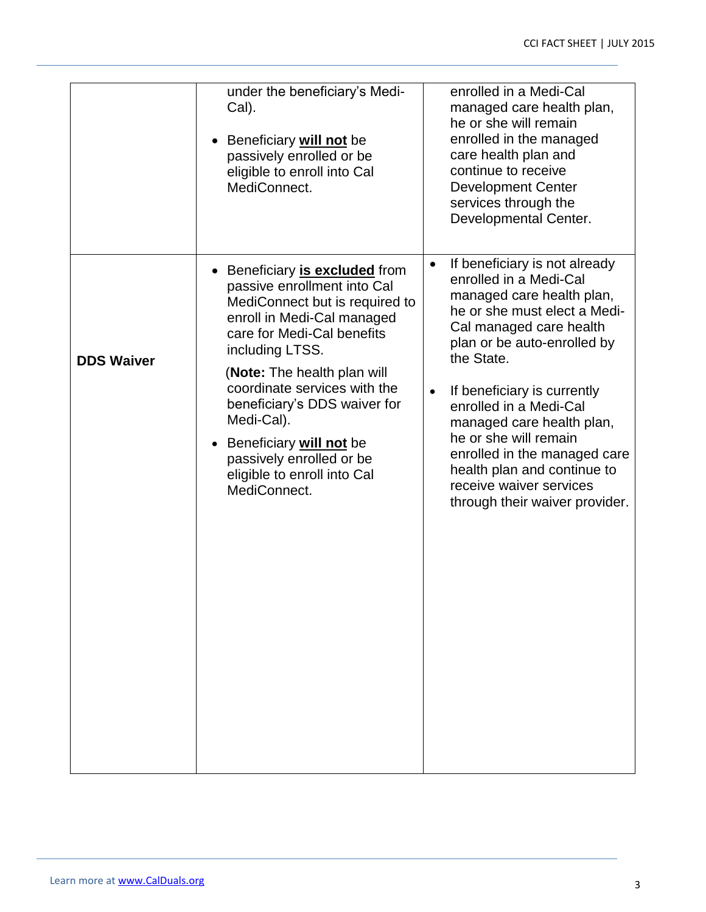|                   | under the beneficiary's Medi-<br>Cal).<br>Beneficiary <b>will not</b> be<br>passively enrolled or be<br>eligible to enroll into Cal<br>MediConnect.                                                                                                                                                                                                                                               | enrolled in a Medi-Cal<br>managed care health plan,<br>he or she will remain<br>enrolled in the managed<br>care health plan and<br>continue to receive<br><b>Development Center</b><br>services through the<br>Developmental Center.                                                                                                                                                                                                                              |
|-------------------|---------------------------------------------------------------------------------------------------------------------------------------------------------------------------------------------------------------------------------------------------------------------------------------------------------------------------------------------------------------------------------------------------|-------------------------------------------------------------------------------------------------------------------------------------------------------------------------------------------------------------------------------------------------------------------------------------------------------------------------------------------------------------------------------------------------------------------------------------------------------------------|
| <b>DDS Waiver</b> | • Beneficiary is excluded from<br>passive enrollment into Cal<br>MediConnect but is required to<br>enroll in Medi-Cal managed<br>care for Medi-Cal benefits<br>including LTSS.<br>(Note: The health plan will<br>coordinate services with the<br>beneficiary's DDS waiver for<br>Medi-Cal).<br>Beneficiary will not be<br>passively enrolled or be<br>eligible to enroll into Cal<br>MediConnect. | If beneficiary is not already<br>$\bullet$<br>enrolled in a Medi-Cal<br>managed care health plan,<br>he or she must elect a Medi-<br>Cal managed care health<br>plan or be auto-enrolled by<br>the State.<br>If beneficiary is currently<br>$\bullet$<br>enrolled in a Medi-Cal<br>managed care health plan,<br>he or she will remain<br>enrolled in the managed care<br>health plan and continue to<br>receive waiver services<br>through their waiver provider. |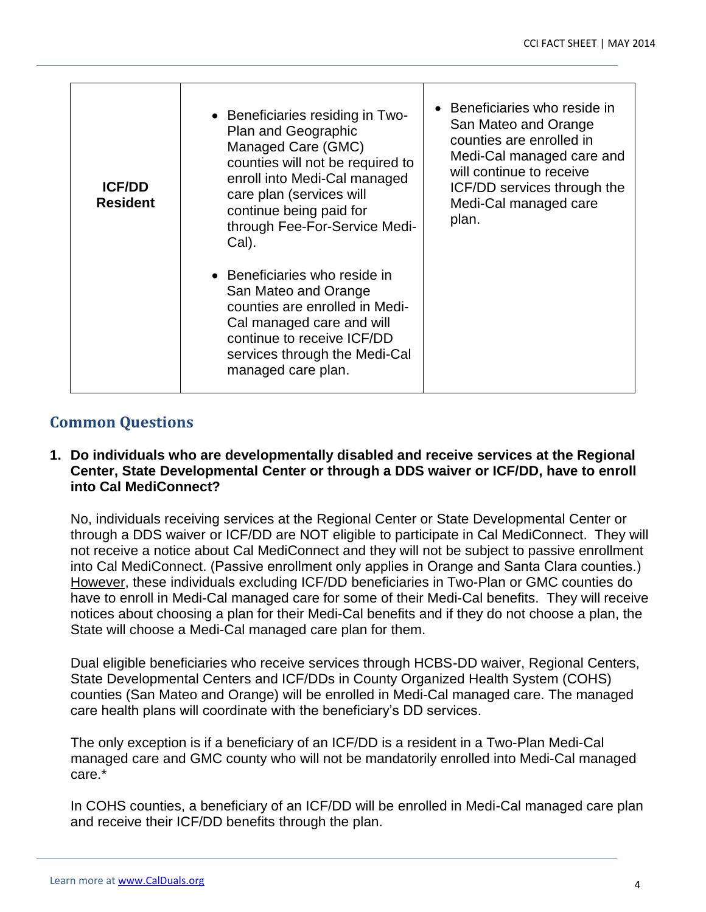| <b>ICF/DD</b><br><b>Resident</b> | • Beneficiaries residing in Two-<br>Plan and Geographic<br>Managed Care (GMC)<br>counties will not be required to<br>enroll into Medi-Cal managed<br>care plan (services will<br>continue being paid for<br>through Fee-For-Service Medi-<br>Cal). | • Beneficiaries who reside in<br>San Mateo and Orange<br>counties are enrolled in<br>Medi-Cal managed care and<br>will continue to receive<br>ICF/DD services through the<br>Medi-Cal managed care<br>plan. |
|----------------------------------|----------------------------------------------------------------------------------------------------------------------------------------------------------------------------------------------------------------------------------------------------|-------------------------------------------------------------------------------------------------------------------------------------------------------------------------------------------------------------|
|                                  | • Beneficiaries who reside in<br>San Mateo and Orange<br>counties are enrolled in Medi-<br>Cal managed care and will<br>continue to receive ICF/DD<br>services through the Medi-Cal<br>managed care plan.                                          |                                                                                                                                                                                                             |

## **Common Questions**

#### **1. Do individuals who are developmentally disabled and receive services at the Regional Center, State Developmental Center or through a DDS waiver or ICF/DD, have to enroll into Cal MediConnect?**

No, individuals receiving services at the Regional Center or State Developmental Center or through a DDS waiver or ICF/DD are NOT eligible to participate in Cal MediConnect. They will not receive a notice about Cal MediConnect and they will not be subject to passive enrollment into Cal MediConnect. (Passive enrollment only applies in Orange and Santa Clara counties.) However, these individuals excluding ICF/DD beneficiaries in Two-Plan or GMC counties do have to enroll in Medi-Cal managed care for some of their Medi-Cal benefits. They will receive notices about choosing a plan for their Medi-Cal benefits and if they do not choose a plan, the State will choose a Medi-Cal managed care plan for them.

Dual eligible beneficiaries who receive services through HCBS-DD waiver, Regional Centers, State Developmental Centers and ICF/DDs in County Organized Health System (COHS) counties (San Mateo and Orange) will be enrolled in Medi-Cal managed care. The managed care health plans will coordinate with the beneficiary's DD services.

The only exception is if a beneficiary of an ICF/DD is a resident in a Two-Plan Medi-Cal managed care and GMC county who will not be mandatorily enrolled into Medi-Cal managed care.\*

In COHS counties, a beneficiary of an ICF/DD will be enrolled in Medi-Cal managed care plan and receive their ICF/DD benefits through the plan.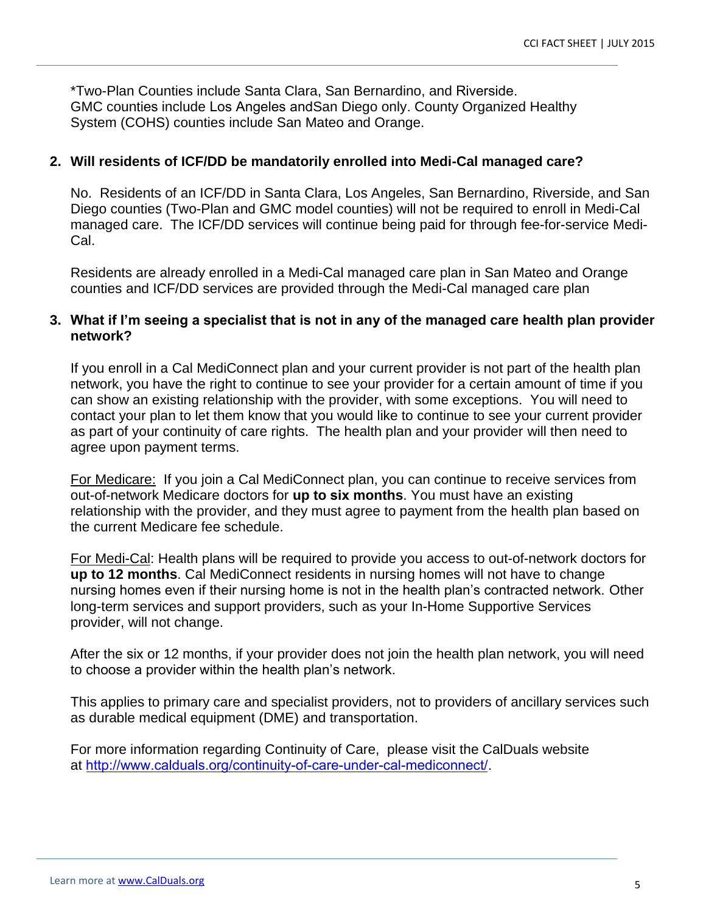\*Two-Plan Counties include Santa Clara, San Bernardino, and Riverside. GMC counties include Los Angeles andSan Diego only. County Organized Healthy System (COHS) counties include San Mateo and Orange.

#### **2. Will residents of ICF/DD be mandatorily enrolled into Medi-Cal managed care?**

No. Residents of an ICF/DD in Santa Clara, Los Angeles, San Bernardino, Riverside, and San Diego counties (Two-Plan and GMC model counties) will not be required to enroll in Medi-Cal managed care. The ICF/DD services will continue being paid for through fee-for-service Medi-Cal.

Residents are already enrolled in a Medi-Cal managed care plan in San Mateo and Orange counties and ICF/DD services are provided through the Medi-Cal managed care plan

#### **3. What if I'm seeing a specialist that is not in any of the managed care health plan provider network?**

If you enroll in a Cal MediConnect plan and your current provider is not part of the health plan network, you have the right to continue to see your provider for a certain amount of time if you can show an existing relationship with the provider, with some exceptions. You will need to contact your plan to let them know that you would like to continue to see your current provider as part of your continuity of care rights. The health plan and your provider will then need to agree upon payment terms.

For Medicare: If you join a Cal MediConnect plan, you can continue to receive services from out-of-network Medicare doctors for **up to six months**. You must have an existing relationship with the provider, and they must agree to payment from the health plan based on the current Medicare fee schedule.

For Medi-Cal: Health plans will be required to provide you access to out-of-network doctors for **up to 12 months**. Cal MediConnect residents in nursing homes will not have to change nursing homes even if their nursing home is not in the health plan's contracted network. Other long-term services and support providers, such as your In-Home Supportive Services provider, will not change.

After the six or 12 months, if your provider does not join the health plan network, you will need to choose a provider within the health plan's network.

This applies to primary care and specialist providers, not to providers of ancillary services such as durable medical equipment (DME) and transportation.

For more information regarding Continuity of Care, please visit the CalDuals website at [http://www.calduals.org/continuity-of-care-under-cal-mediconnect/.](http://www.calduals.org/wp-content/uploads/2014/02/ContinuityofCare_012914.pdf)